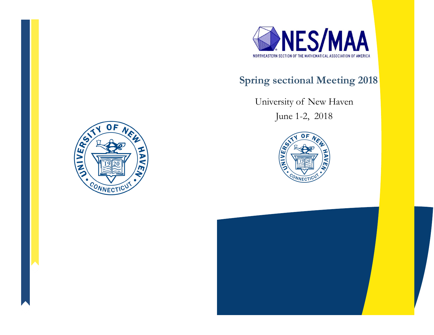

# **Spring sectional Meeting 2018**

University of New Haven

June 1-2, 2018





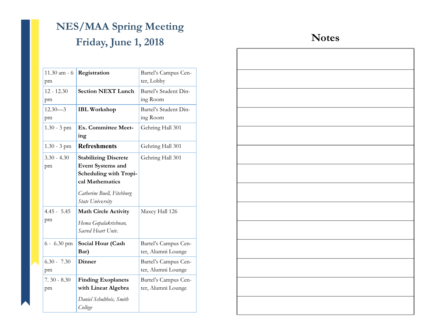# **NES/MAA Spring Meeting Friday, June 1, 2018**

| $11.30$ am - 6<br>pm                       | Registration                                                                                                                                                                                                                        | Bartel's Campus Cen-<br>ter, Lobby         |
|--------------------------------------------|-------------------------------------------------------------------------------------------------------------------------------------------------------------------------------------------------------------------------------------|--------------------------------------------|
| $12 - 12.30$<br>pm                         | <b>Section NEXT Lunch</b>                                                                                                                                                                                                           | Bartel's Student Din-<br>ing Room          |
| $12.30 - 3$<br>pm                          | <b>IBL</b> Workshop                                                                                                                                                                                                                 | Bartel's Student Din-<br>ing Room          |
| $1.30 - 3$ pm                              | Ex. Committee Meet-<br>ing                                                                                                                                                                                                          | Gehring Hall 301                           |
| $1.30 - 3$ pm                              | <b>Refreshments</b>                                                                                                                                                                                                                 | Gehring Hall 301                           |
| $3.30 - 4.30$<br>pm<br>$4.45 - 5.45$<br>pm | <b>Stabilizing Discrete</b><br><b>Event Systems and</b><br>Scheduling with Tropi-<br>cal Mathematics<br>Catherine Buell, Fitchburg<br>State University<br><b>Math Circle Activity</b><br>Hema Gopalakrishnan,<br>Sacred Heart Univ. | Gehring Hall 301<br>Maxcy Hall 126         |
| $6 - 6.30$ pm                              | Social Hour (Cash<br>Bar)                                                                                                                                                                                                           | Bartel's Campus Cen-<br>ter, Alumni Lounge |
| $6.30 - 7.30$<br>pm                        | <b>Dinner</b>                                                                                                                                                                                                                       | Bartel's Campus Cen-<br>ter, Alumni Lounge |
| $7.30 - 8.30$<br>pm                        | <b>Finding Exoplanets</b><br>with Linear Algebra<br>Daniel Schultheis, Smith<br>College                                                                                                                                             | Bartel's Campus Cen-<br>ter, Alumni Lounge |

## **Notes**

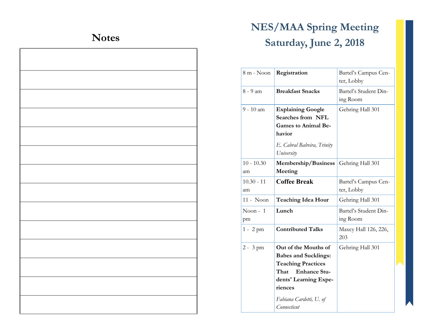# **Notes**

# **NES/MAA Spring Meeting Saturday, June 2, 2018**

| 8 m - Noon   | Registration                | Bartel's Campus Cen-<br>ter, Lobby |
|--------------|-----------------------------|------------------------------------|
|              |                             |                                    |
| 8 - 9 am     | <b>Breakfast Snacks</b>     | Bartel's Student Din-              |
|              |                             | ing Room                           |
| 9 - 10 am    |                             |                                    |
|              | <b>Explaining Google</b>    | Gehring Hall 301                   |
|              | <b>Searches from NFL</b>    |                                    |
|              | <b>Games to Animal Be-</b>  |                                    |
|              | havior                      |                                    |
|              | E. Cabral Balreira, Trinity |                                    |
|              |                             |                                    |
|              | University                  |                                    |
| $10 - 10.30$ | Membership/Business         | Gehring Hall 301                   |
| am           | Meeting                     |                                    |
| $10.30 - 11$ | <b>Coffee Break</b>         | Bartel's Campus Cen-               |
| am           |                             | ter, Lobby                         |
| 11 - Noon    | <b>Teaching Idea Hour</b>   | Gehring Hall 301                   |
| Noon - $1$   | Lunch                       | Bartel's Student Din-              |
| pm           |                             | ing Room                           |
|              |                             |                                    |
| $1 - 2$ pm   | <b>Contributed Talks</b>    | Maxcy Hall 126, 226,               |
|              |                             | 203                                |
| $2 - 3$ pm   | Out of the Mouths of        | Gehring Hall 301                   |
|              | <b>Babes and Sucklings:</b> |                                    |
|              | <b>Teaching Practices</b>   |                                    |
|              | That<br><b>Enhance Stu-</b> |                                    |
|              | dents' Learning Expe-       |                                    |
|              | riences                     |                                    |
|              |                             |                                    |
|              | Fabiana Cardetti, U. of     |                                    |
|              | Connecticut                 |                                    |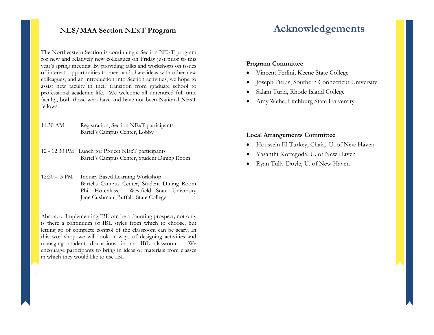The Northeastern Section is continuing a Section NExT program for new and relatively new colleagues on Friday just prior to this year's spring meeting. By providing talks and workshops on issues of interest, opportunities to meet and share ideas with other new colleagues, and an introduction into Section activities, we hope to assist new faculty in their transition from graduate school to professional academic life. We welcome all untenured full time faculty, both those who have and have not been National NExT fellows.

11:30 AM Registration, Section NExT participants Bartel's Campus Center, Lobby

- 12 12.30 PM Lunch for Project NExT participants Bartel's Campus Center, Student Dining Room
- 12:30 3 PM Inquiry Based Learning Workshop Bartel's Campus Center, Student Dining Room Phil Hotchkiss, Westfield State University Jane Cushman, Buffalo State College

Abstract: Implementing IBL can be a daunting prospect; not only is there a continuum of IBL styles from which to choose, but letting go of complete control of the classroom can be scary. In this workshop we will look at ways of designing activities and managing student discussions in an IBL classroom. We encourage participants to bring in ideas or materials from classes in which they would like to use IBL.

### **NES/MAA Section NExT Program Acknowledgements**

#### **Program Committee**

- Vincent Ferlini, Keene State College
- Joseph Fields, Southern Connecticut University
- Salam Turki, Rhode Island College
- Amy Wehe, Fitchburg State University

#### **Local Arrangements Committee**

- Houssein El Turkey, Chair, U. of New Haven
- Yasanthi Kottegoda, U. of New Haven
- Ryan Tully-Doyle, U. of New Haven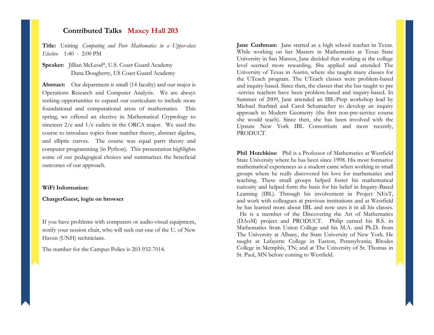#### **Contributed Talks Maxcy Hall 203**

**Title:** Uniting *Computing and Pure Mathematics in a Upper-class Elective* 1:40 - 2:00 PM

**Speaker:** Jillian McLeod\*, U.S. Coast Guard Academy Dana Dougherty, US Coast Guard Academy

**Abstract:** Our department is small (14 faculty) and our major is Operations Research and Computer Analysis. We are always seeking opportunities to expand our curriculum to include more foundational and computational areas of mathematics. This spring, we offered an elective in Mathematical Cryptology to nineteen  $2/c$  and  $1/c$  cadets in the ORCA major. We used the course to introduce topics from number theory, abstract algebra, and elliptic curves. The course was equal parts theory and computer programming (in Python). This presentation highlights some of our pedagogical choices and summarizes the beneficial outcomes of our approach.

#### **WiFi Information:**

**ChargerGuest, login on browser**

If you have problems with computers or audio-visual equipment, notify your session chair, who will seek out one of the U. of New Haven (UNH) technicians.

The number for the Campus Police is 203-932-7014.

**Jane Cushman:** Jane started as a high school teacher in Texas. While working on her Masters in Mathematics at Texas State University in San Marcos, Jane decided that working at the college level seemed more rewarding. She applied and attended The University of Texas in Austin, where she taught many classes for the UTeach program. The UTeach classes were problem-based and inquiry-based. Since then, the classes that she has taught to pre -service teachers have been problem-based and inquiry-based. In Summer of 2009, Jane attended an IBL-Prep workshop lead by Michael Starbird and Carol Schumacher to develop an inquiry approach to Modern Geometry (the first non-pre-service course she would teach). Since then, she has been involved with the Upstate New York IBL Consortium and most recently, PRODUCT.

**Phil Hotchkiss:** Phil is a Professor of Mathematics at Westfield State University where he has been since 1998. His most formative mathematical experiences as a student came when working in small groups where he really discovered his love for mathematics and teaching. These small groups helped foster his mathematical curiosity and helped form the basis for his belief in Inquiry-Based Learning (IBL). Through his involvement in Project NExT, and work with colleagues at previous institutions and at Westfield he has learned more about IBL and now uses it in all his classes. He is a member of the Discovering the Art of Mathematics (DAoM) project and PRODUCT. Philip earned his B.S. in Mathematics from Union College and his M.A. and Ph.D. from The University at Albany, the State University of New York. He taught at Lafayette College in Easton, Pennsylvania; Rhodes College in Memphis, TN; and at The University of St. Thomas in St. Paul, MN before coming to Westfield.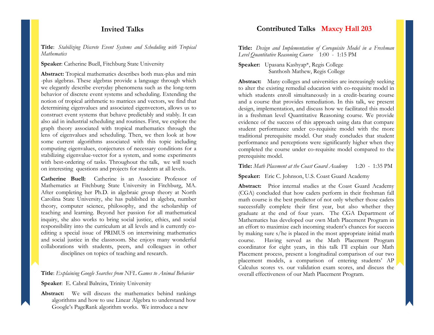### **Invited Talks**

**Title**: *Stabilizing Discrete Event Systems and Scheduling with Tropical Mathematics*

**Speaker**: Catherine Buell, Fitchburg State University

**Abstract:** Tropical mathematics describes both max-plus and min -plus algebras. These algebras provide a language through which we elegantly describe everyday phenomena such as the long-term behavior of discrete event systems and scheduling. Extending the notion of tropical arithmetic to matrices and vectors, we find that determining eigenvalues and associated eigenvectors, allows us to construct event systems that behave predictably and stably. It can also aid in industrial scheduling and routines. First, we explore the graph theory associated with tropical mathematics through the lens of eigenvalues and scheduling. Then, we then look at how some current algorithms associated with this topic including computing eigenvalues, conjectures of necessary conditions for a stabilizing eigenvalue-vector for a system, and some experiments with best-ordering of tasks. Throughout the talk, we will touch on interesting questions and projects for students at all levels.

**Catherine Buell:** Catherine is an Associate Professor of Mathematics at Fitchburg State University in Fitchburg, MA. After completing her Ph.D. in algebraic group theory at North Carolina State University, she has published in algebra, number theory, computer science, philosophy, and the scholarship of teaching and learning. Beyond her passion for all mathematical inquiry, she also works to bring social justice, ethics, and social responsibility into the curriculum at all levels and is currently coediting a special issue of PRIMUS on intertwining mathematics and social justice in the classroom. She enjoys many wonderful collaborations with students, peers, and colleagues in other disciplines on topics of teaching and research.

**Title**: *Explaining Google Searches from NFL Games to Animal Behavior*

 **Speaker**: E. Cabral Balreira, Trinity University

 **Abstract:** We will discuss the mathematics behind rankings algorithms and how to use Linear Algebra to understand how Google's PageRank algorithm works. We introduce a new

#### **Contributed Talks Maxcy Hall 203**

**Title:** *Design and Implementation of Corequisite Model in a Freshman Level Quantitative Reasoning Course* 1:00 - 1:15 PM

**Speaker:** Upasana Kashyap\*, Regis College Santhosh Mathew, Regis College

**Abstract:** Many colleges and universities are increasingly seeking to alter the existing remedial education with co-requisite model in which students enroll simultaneously in a credit-bearing course and a course that provides remediation. In this talk, we present design, implementation, and discuss how we facilitated this model in a freshman level Quantitative Reasoning course. We provide evidence of the success of this approach using data that compare student performance under co-requisite model with the more traditional prerequisite model. Our study concludes that student performance and perceptions were significantly higher when they completed the course under co-requisite model compared to the prerequisite model.

#### **Title:** *Math Placement at the Coast Guard Academy* 1:20 - 1:35 PM

**Speaker:** Eric C. Johnson, U.S. Coast Guard Academy

**Abstract:** Prior internal studies at the Coast Guard Academy (CGA) concluded that how cadets perform in their freshman fall math course is the best predictor of not only whether those cadets successfully complete their first year, but also whether they graduate at the end of four years. The CGA Department of Mathematics has developed our own Math Placement Program in an effort to maximize each incoming student's chances for success by making sure s/he is placed in the most appropriate initial math course. Having served as the Math Placement Program coordinator for eight years, in this talk I'll explain our Math Placement process, present a longitudinal comparison of our two placement models, a comparison of entering students' AP Calculus scores vs. our validation exam scores, and discuss the overall effectiveness of our Math Placement Program.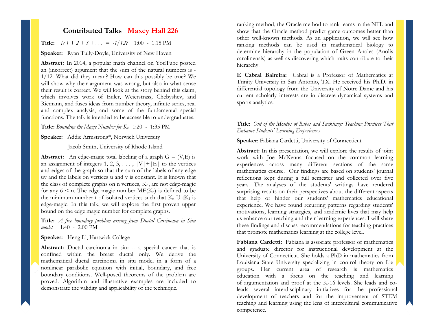#### **Contributed Talks Maxcy Hall 226**

**Title:**  $I_s 1 + 2 + 3 + ... = -1/12$ ? 1:00 - 1.15 PM

#### **Speaker:** Ryan Tully-Doyle, University of New Haven

**Abstract:** In 2014, a popular math channel on YouTube posted an (incorrect) argument that the sum of the natural numbers is - 1/12. What did they mean? How can this possibly be true? We will show why their argument was wrong, but also in what sense their result is correct. We will look at the story behind this claim, which involves work of Euler, Weierstrass, Chebyshev, and Riemann, and fuses ideas from number theory, infinite series, real and complex analysis, and some of the fundamental special functions. The talk is intended to be accessible to undergraduates.

#### **Title:** *Bounding the Magic Number for Kn* 1:20 - 1:35 PM

**Speaker:** Addie Armstrong\*, Norwich University

Jacob Smith, University of Rhode Island

**Abstract:** An edge-magic total labeling of a graph  $G = (V, E)$  is an assignment of integers 1, 2, 3,  $\dots$ ,  $|V| + |E|$  to the vertices and edges of the graph so that the sum of the labels of any edge uv and the labels on vertices u and v is constant. It is known that the class of complete graphs on n vertices,  $K_n$ , are not edge-magic for any  $6 \le n$ . The edge magic number  $ME(K_n)$  is defined to be the minimum number t of isolated vertices such that  $K_n U$  t $K_1$  is edge-magic. In this talk, we will explore the first proven upper bound on the edge magic number for complete graphs.

**Title:** *A free boundary problem arising from Ductal Carcinoma in Situ model* 1:40 - 2:00 PM

**Speaker:** Heng Li, Hartwick College

**Abstract:** Ductal carcinoma in situ -- a special cancer that is confined within the breast ductal only. We derive the mathematical ductal carcinoma in situ model in a form of a nonlinear parabolic equation with initial, boundary, and free boundary conditions. Well-posed theorems of the problem are proved. Algorithm and illustrative examples are included to demonstrate the validity and applicability of the technique.

ranking method, the Oracle method to rank teams in the NFL and show that the Oracle method predict game outcomes better than other well-known methods. As an application, we will see how ranking methods can be used in mathematical biology to determine hierarchy in the population of Green Anoles (Anolis carolinensis) as well as discovering which traits contribute to their hierarchy.

**E Cabral Balreira:** Cabral is a Professor of Mathematics at Trinity University in San Antonio, TX. He received his Ph.D. in differential topology from the University of Notre Dame and his current scholarly interests are in discrete dynamical systems and sports analytics.

#### **Title**: *Out of the Mouths of Babes and Sucklings: Teaching Practices That Enhance Students' Learning Experiences*

#### **Speaker**: Fabiana Cardetti, University of Connecticut

**Abstract:** In this presentation, we will explore the results of joint work with Joe McKenna focused on the common learning experiences across many different sections of the same mathematics course. Our findings are based on students' journal reflections kept during a full semester and collected over five years. The analyses of the students' writings have rendered surprising results on their perspectives about the different aspects that help or hinder our students' mathematics educational experience. We have found recurring patterns regarding students' motivations, learning strategies, and academic lives that may help us enhance our teaching and their learning experiences. I will share these findings and discuss recommendations for teaching practices that promote mathematics learning at the college level.

**Fabiana Cardetti:** Fabiana is associate professor of mathematics and graduate director for instructional development at the University of Connecticut. She holds a PhD in mathematics from Louisiana State University specializing in control theory on Lie groups. Her current area of research is mathematics education with a focus on the teaching and learning of argumentation and proof at the K-16 levels. She leads and coleads several interdisciplinary initiatives for the professional development of teachers and for the improvement of STEM teaching and learning using the lens of intercultural communicative competence.